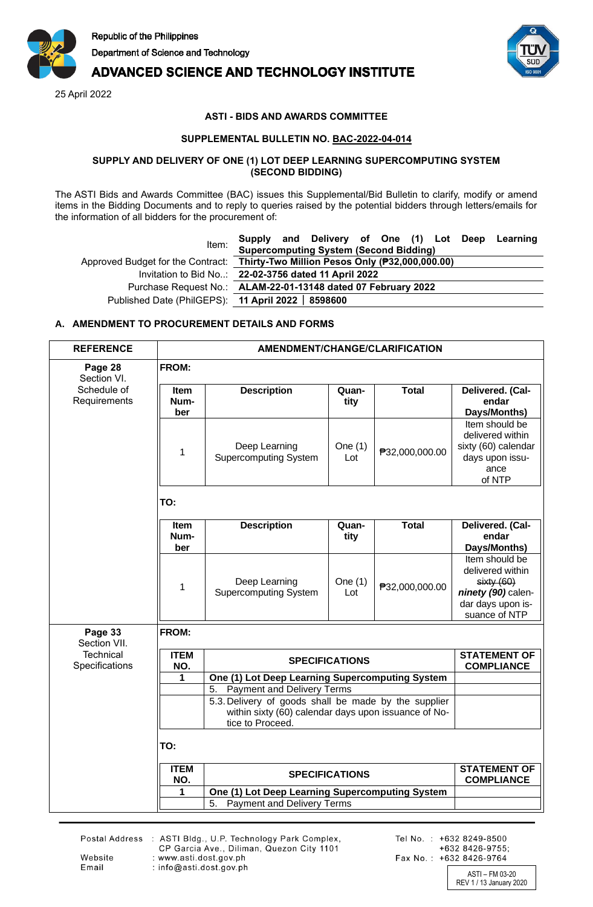

# **ADVANCED SCIENCE AND TECHNOLOGY INSTITUTE**

25 April 2022



# **ASTI - BIDS AND AWARDS COMMITTEE**

## **SUPPLEMENTAL BULLETIN NO. BAC-2022-04-014**

#### **SUPPLY AND DELIVERY OF ONE (1) LOT DEEP LEARNING SUPERCOMPUTING SYSTEM (SECOND BIDDING)**

The ASTI Bids and Awards Committee (BAC) issues this Supplemental/Bid Bulletin to clarify, modify or amend items in the Bidding Documents and to reply to queries raised by the potential bidders through letters/emails for the information of all bidders for the procurement of:

| Item:                                              | Supply and Delivery of One (1) Lot Deep Learning                                 |  |  |  |
|----------------------------------------------------|----------------------------------------------------------------------------------|--|--|--|
|                                                    | <b>Supercomputing System (Second Bidding)</b>                                    |  |  |  |
|                                                    | Approved Budget for the Contract: Thirty-Two Million Pesos Only (P32,000,000.00) |  |  |  |
|                                                    | Invitation to Bid No: 22-02-3756 dated 11 April 2022                             |  |  |  |
|                                                    | Purchase Request No.: ALAM-22-01-13148 dated 07 February 2022                    |  |  |  |
| Published Date (PhilGEPS): 11 April 2022   8598600 |                                                                                  |  |  |  |

## **A. AMENDMENT TO PROCUREMENT DETAILS AND FORMS**

| <b>REFERENCE</b>                   | AMENDMENT/CHANGE/CLARIFICATION              |                                                                                                                                  |                  |                                          |                                                                                                             |
|------------------------------------|---------------------------------------------|----------------------------------------------------------------------------------------------------------------------------------|------------------|------------------------------------------|-------------------------------------------------------------------------------------------------------------|
| Page 28<br>Section VI.             | FROM:                                       |                                                                                                                                  |                  |                                          |                                                                                                             |
| Schedule of<br>Requirements        | <b>Item</b><br>Num-<br>ber                  | <b>Description</b>                                                                                                               | Quan-<br>tity    | <b>Total</b>                             | Delivered. (Cal-<br>endar<br>Days/Months)                                                                   |
|                                    | 1                                           | Deep Learning<br><b>Supercomputing System</b>                                                                                    | One $(1)$<br>Lot | ₱32,000,000.00                           | Item should be<br>delivered within<br>sixty (60) calendar<br>days upon issu-<br>ance<br>of NTP              |
|                                    | TO:                                         |                                                                                                                                  |                  |                                          |                                                                                                             |
|                                    | <b>Item</b><br>Num-<br>ber                  | <b>Description</b>                                                                                                               | Quan-<br>tity    | <b>Total</b>                             | Delivered. (Cal-<br>endar<br>Days/Months)                                                                   |
|                                    | 1                                           | Deep Learning<br><b>Supercomputing System</b>                                                                                    | One $(1)$<br>Lot | ₱32,000,000.00                           | Item should be<br>delivered within<br>sixty(60)<br>ninety (90) calen-<br>dar days upon is-<br>suance of NTP |
| Page 33<br>Section VII.            | FROM:                                       |                                                                                                                                  |                  |                                          |                                                                                                             |
| <b>Technical</b><br>Specifications | <b>ITEM</b><br>NO.                          | <b>SPECIFICATIONS</b>                                                                                                            |                  |                                          | <b>STATEMENT OF</b><br><b>COMPLIANCE</b>                                                                    |
|                                    | 1                                           | One (1) Lot Deep Learning Supercomputing System                                                                                  |                  |                                          |                                                                                                             |
|                                    | <b>Payment and Delivery Terms</b><br>5.     |                                                                                                                                  |                  |                                          |                                                                                                             |
|                                    |                                             | 5.3. Delivery of goods shall be made by the supplier<br>within sixty (60) calendar days upon issuance of No-<br>tice to Proceed. |                  |                                          |                                                                                                             |
|                                    | TO:                                         |                                                                                                                                  |                  |                                          |                                                                                                             |
|                                    | <b>ITEM</b><br><b>SPECIFICATIONS</b><br>NO. |                                                                                                                                  |                  | <b>STATEMENT OF</b><br><b>COMPLIANCE</b> |                                                                                                             |
|                                    | 1                                           | One (1) Lot Deep Learning Supercomputing System<br>5.                                                                            |                  |                                          |                                                                                                             |
|                                    |                                             | <b>Payment and Delivery Terms</b>                                                                                                |                  |                                          |                                                                                                             |

Website

Email

Postal Address : ASTI Bldg., U.P. Technology Park Complex,<br>CP Garcia Ave., Diliman, Quezon City 1101 : www.asti.dost.gov.ph : info@asti.dost.gov.ph